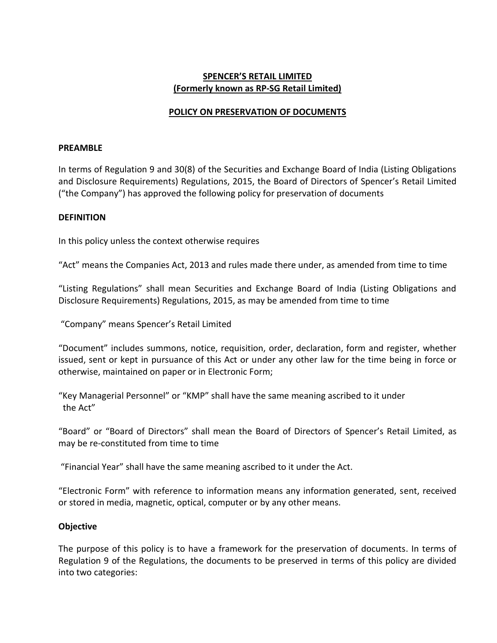# **SPENCER'S RETAIL LIMITED (Formerly known as RP-SG Retail Limited)**

# **POLICY ON PRESERVATION OF DOCUMENTS**

#### **PREAMBLE**

In terms of Regulation 9 and 30(8) of the Securities and Exchange Board of India (Listing Obligations and Disclosure Requirements) Regulations, 2015, the Board of Directors of Spencer's Retail Limited ("the Company") has approved the following policy for preservation of documents

# **DEFINITION**

In this policy unless the context otherwise requires

"Act" means the Companies Act, 2013 and rules made there under, as amended from time to time

"Listing Regulations" shall mean Securities and Exchange Board of India (Listing Obligations and Disclosure Requirements) Regulations, 2015, as may be amended from time to time

"Company" means Spencer's Retail Limited

"Document" includes summons, notice, requisition, order, declaration, form and register, whether issued, sent or kept in pursuance of this Act or under any other law for the time being in force or otherwise, maintained on paper or in Electronic Form;

"Key Managerial Personnel" or "KMP" shall have the same meaning ascribed to it under the Act"

"Board" or "Board of Directors" shall mean the Board of Directors of Spencer's Retail Limited, as may be re-constituted from time to time

"Financial Year" shall have the same meaning ascribed to it under the Act.

"Electronic Form" with reference to information means any information generated, sent, received or stored in media, magnetic, optical, computer or by any other means.

#### **Objective**

The purpose of this policy is to have a framework for the preservation of documents. In terms of Regulation 9 of the Regulations, the documents to be preserved in terms of this policy are divided into two categories: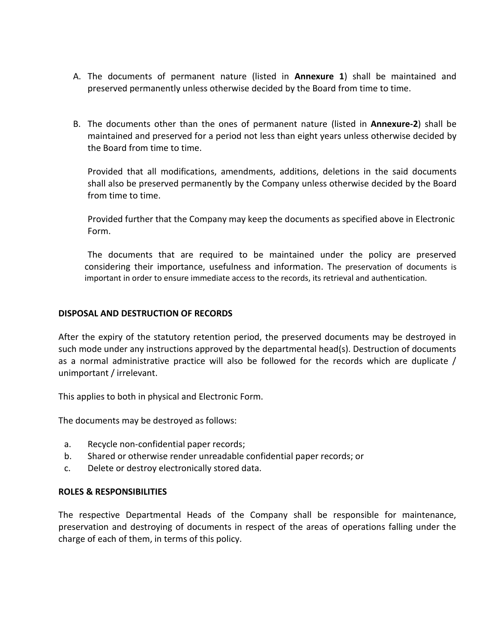- A. The documents of permanent nature (listed in **Annexure 1**) shall be maintained and preserved permanently unless otherwise decided by the Board from time to time.
- B. The documents other than the ones of permanent nature (listed in **Annexure-2**) shall be maintained and preserved for a period not less than eight years unless otherwise decided by the Board from time to time.

Provided that all modifications, amendments, additions, deletions in the said documents shall also be preserved permanently by the Company unless otherwise decided by the Board from time to time.

Provided further that the Company may keep the documents as specified above in Electronic Form.

The documents that are required to be maintained under the policy are preserved considering their importance, usefulness and information. The preservation of documents is important in order to ensure immediate access to the records, its retrieval and authentication.

# **DISPOSAL AND DESTRUCTION OF RECORDS**

After the expiry of the statutory retention period, the preserved documents may be destroyed in such mode under any instructions approved by the departmental head(s). Destruction of documents as a normal administrative practice will also be followed for the records which are duplicate / unimportant / irrelevant.

This applies to both in physical and Electronic Form.

The documents may be destroyed as follows:

- a. Recycle non-confidential paper records;
- b. Shared or otherwise render unreadable confidential paper records; or
- c. Delete or destroy electronically stored data.

# **ROLES & RESPONSIBILITIES**

The respective Departmental Heads of the Company shall be responsible for maintenance, preservation and destroying of documents in respect of the areas of operations falling under the charge of each of them, in terms of this policy.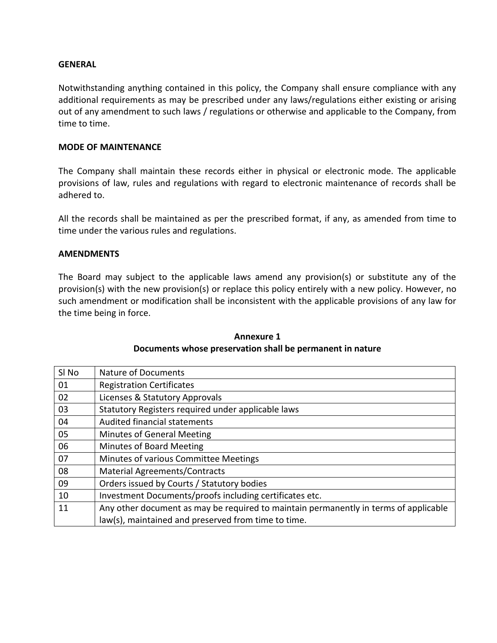### **GENERAL**

Notwithstanding anything contained in this policy, the Company shall ensure compliance with any additional requirements as may be prescribed under any laws/regulations either existing or arising out of any amendment to such laws / regulations or otherwise and applicable to the Company, from time to time.

## **MODE OF MAINTENANCE**

The Company shall maintain these records either in physical or electronic mode. The applicable provisions of law, rules and regulations with regard to electronic maintenance of records shall be adhered to.

All the records shall be maintained as per the prescribed format, if any, as amended from time to time under the various rules and regulations.

### **AMENDMENTS**

The Board may subject to the applicable laws amend any provision(s) or substitute any of the provision(s) with the new provision(s) or replace this policy entirely with a new policy. However, no such amendment or modification shall be inconsistent with the applicable provisions of any law for the time being in force.

| SI <sub>No</sub> | <b>Nature of Documents</b>                                                           |
|------------------|--------------------------------------------------------------------------------------|
| 01               | <b>Registration Certificates</b>                                                     |
| 02               | Licenses & Statutory Approvals                                                       |
| 03               | Statutory Registers required under applicable laws                                   |
| 04               | <b>Audited financial statements</b>                                                  |
| 05               | <b>Minutes of General Meeting</b>                                                    |
| 06               | <b>Minutes of Board Meeting</b>                                                      |
| 07               | Minutes of various Committee Meetings                                                |
| 08               | <b>Material Agreements/Contracts</b>                                                 |
| 09               | Orders issued by Courts / Statutory bodies                                           |
| 10               | Investment Documents/proofs including certificates etc.                              |
| 11               | Any other document as may be required to maintain permanently in terms of applicable |
|                  | law(s), maintained and preserved from time to time.                                  |

#### **Annexure 1 Documents whose preservation shall be permanent in nature**